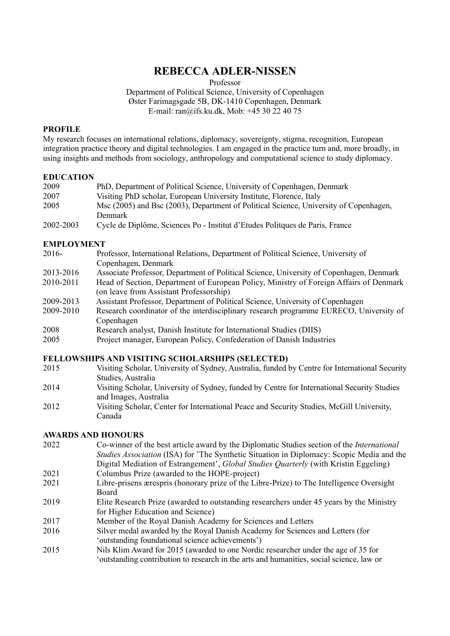# **REBECCA ADLER-NISSEN**

Professor

Department of Political Science, University of Copenhagen Øster Farimagsgade 5B, DK-1410 Copenhagen, Denmark E-mail: ran@ifs.ku.dk, Mob: +45 30 22 40 75

#### **PROFILE**

My research focuses on international relations, diplomacy, sovereignty, stigma, recognition, European integration practice theory and digital technologies. I am engaged in the practice turn and, more broadly, in using insights and methods from sociology, anthropology and computational science to study diplomacy.

#### **EDUCATION**

| 2009      | PhD, Department of Political Science, University of Copenhagen, Denmark               |
|-----------|---------------------------------------------------------------------------------------|
| 2007      | Visiting PhD scholar, European University Institute, Florence, Italy                  |
| 2005      | Msc (2005) and Bsc (2003), Department of Political Science, University of Copenhagen, |
|           | <b>Denmark</b>                                                                        |
| anna anna | $C = 1 + D'$ $1^k$ $C' = D'$ $D'$ $I'$ $I'$ $I'$ $D'$ $I'$ $I'$ $D'$ $I'$ $D'$ $I''$  |

2002-2003 Cycle de Diplôme, Sciences Po - Institut d'Etudes Politques de Paris, France

#### **EMPLOYMENT**

| 2016- | Professor, International Relations, Department of Political Science, University of |
|-------|------------------------------------------------------------------------------------|
|       | Copenhagen, Denmark                                                                |
|       |                                                                                    |

- 2013-2016 Associate Professor, Department of Political Science, University of Copenhagen, Denmark
- 2010-2011 Head of Section, Department of European Policy, Ministry of Foreign Affairs of Denmark (on leave from Assistant Professorship)
- 2009-2013 Assistant Professor, Department of Political Science, University of Copenhagen
- 2009-2010 Research coordinator of the interdisciplinary research programme EURECO, University of Copenhagen
- 2008 Research analyst, Danish Institute for International Studies (DIIS)
- 2005 Project manager, European Policy, Confederation of Danish Industries

#### **FELLOWSHIPS AND VISITING SCHOLARSHIPS (SELECTED)**

- 2015 Visiting Scholar, University of Sydney, Australia, funded by Centre for International Security Studies, Australia
- 2014 Visiting Scholar, University of Sydney, funded by Centre for International Security Studies and Images, Australia
- 2012 Visiting Scholar, Center for International Peace and Security Studies, McGill University, Canada

### **AWARDS AND HONOURS**

- 2022 Co-winner of the best article award by the Diplomatic Studies section of the *International Studies Association* (ISA) for 'The Synthetic Situation in Diplomacy: Scopic Media and the Digital Mediation of Estrangement', *Global Studies Quarterly* (with Kristin Eggeling) 2021 Columbus Prize (awarded to the HOPE-project)
- 2021 Libre-prisens ærespris (honorary prize of the Libre-Prize) to The Intelligence Oversight Board
- 2019 Elite Research Prize (awarded to outstanding researchers under 45 years by the Ministry for Higher Education and Science)
- 2017 Member of the Royal Danish Academy for Sciences and Letters
- 2016 Silver medal awarded by the Royal Danish Academy for Sciences and Letters (for 'outstanding foundational science achievements')
- 2015 Nils Klim Award for 2015 (awarded to one Nordic researcher under the age of 35 for 'outstanding contribution to research in the arts and humanities, social science, law or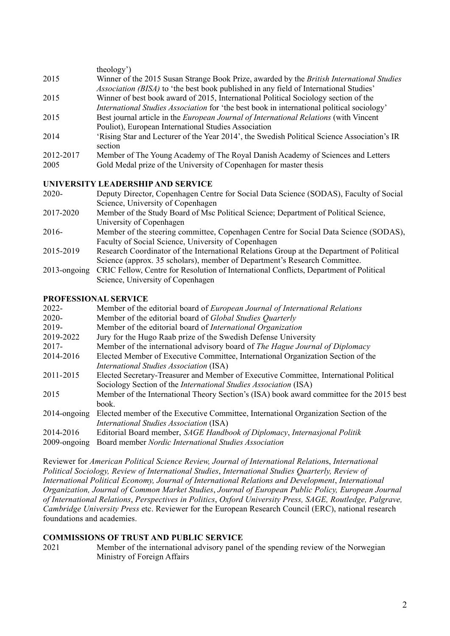|                   | theology')                                                                                                                                                                                |
|-------------------|-------------------------------------------------------------------------------------------------------------------------------------------------------------------------------------------|
| 2015              | Winner of the 2015 Susan Strange Book Prize, awarded by the British International Studies<br><i>Association (BISA)</i> to 'the best book published in any field of International Studies' |
| 2015              | Winner of best book award of 2015, International Political Sociology section of the<br>International Studies Association for 'the best book in international political sociology'         |
| 2015              | Best journal article in the <i>European Journal of International Relations</i> (with Vincent<br>Pouliot), European International Studies Association                                      |
| 2014              | 'Rising Star and Lecturer of the Year 2014', the Swedish Political Science Association's IR<br>section                                                                                    |
| 2012-2017<br>2005 | Member of The Young Academy of The Royal Danish Academy of Sciences and Letters<br>Gold Medal prize of the University of Copenhagen for master thesis                                     |

# **UNIVERSITY LEADERSHIP AND SERVICE**

| $2020 -$  | Deputy Director, Copenhagen Centre for Social Data Science (SODAS), Faculty of Social                                              |
|-----------|------------------------------------------------------------------------------------------------------------------------------------|
|           | Science, University of Copenhagen                                                                                                  |
| 2017-2020 | Member of the Study Board of Msc Political Science; Department of Political Science,                                               |
|           | University of Copenhagen                                                                                                           |
| 2016-     | Member of the steering committee, Copenhagen Centre for Social Data Science (SODAS),                                               |
|           | Faculty of Social Science, University of Copenhagen                                                                                |
| 2015-2019 | Research Coordinator of the International Relations Group at the Department of Political                                           |
|           | Science (approx. 35 scholars), member of Department's Research Committee.                                                          |
|           | $2012$ . $\ldots$ $CDIO$ $D.11$ $\ldots$ $D.$ $\ldots$ $D.$ $D.$ $\ldots$ $D.$ $CD.$ $CD.$ $\ldots$ $CD.$ $CD.$ $\ldots$ $CD.11$ . |

2013-ongoing CRIC Fellow, Centre for Resolution of International Conflicts, Department of Political Science, University of Copenhagen

# **PROFESSIONAL SERVICE**

| $2022 -$        | Member of the editorial board of European Journal of International Relations              |
|-----------------|-------------------------------------------------------------------------------------------|
| 2020-           | Member of the editorial board of Global Studies Quarterly                                 |
| 2019-           | Member of the editorial board of International Organization                               |
| 2019-2022       | Jury for the Hugo Raab prize of the Swedish Defense University                            |
| $2017 -$        | Member of the international advisory board of The Hague Journal of Diplomacy              |
| 2014-2016       | Elected Member of Executive Committee, International Organization Section of the          |
|                 | <i>International Studies Association</i> (ISA)                                            |
| 2011-2015       | Elected Secretary-Treasurer and Member of Executive Committee, International Political    |
|                 | Sociology Section of the <i>International Studies Association</i> (ISA)                   |
| 2015            | Member of the International Theory Section's (ISA) book award committee for the 2015 best |
|                 | book.                                                                                     |
| $2014$ -ongoing | Elected member of the Executive Committee, International Organization Section of the      |
|                 | International Studies Association (ISA)                                                   |
| 2014-2016       | Editorial Board member, SAGE Handbook of Diplomacy, Internasjonal Politik                 |
| 2009-ongoing    | Board member Nordic International Studies Association                                     |

Reviewer for *American Political Science Review, Journal of International Relation*s, *International Political Sociology, Review of International Studies*, *International Studies Quarterly, Review of International Political Economy, Journal of International Relations and Development*, *International Organization, Journal of Common Market Studies*, *Journal of European Public Policy, European Journal of International Relations*, *Perspectives in Politics*, *Oxford University Press, SAGE, Routledge, Palgrave, Cambridge University Press* etc. Reviewer for the European Research Council (ERC), national research foundations and academies.

# **COMMISSIONS OF TRUST AND PUBLIC SERVICE**

2021 Member of the international advisory panel of the spending review of the Norwegian Ministry of Foreign Affairs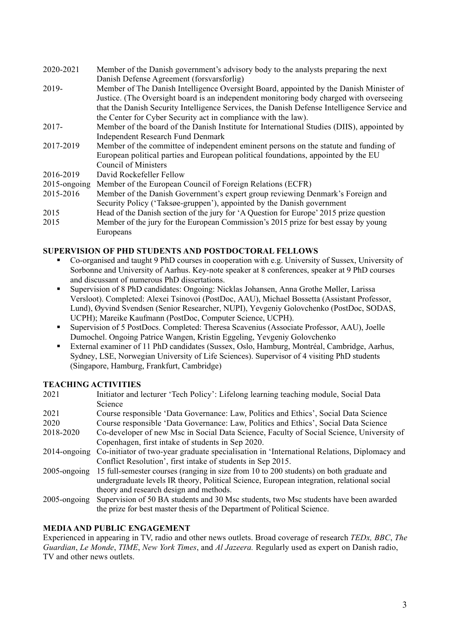2020-2021 Member of the Danish government's advisory body to the analysts preparing the next Danish Defense Agreement (forsvarsforlig) 2019- Member of The Danish Intelligence Oversight Board, appointed by the Danish Minister of Justice. (The Oversight board is an independent monitoring body charged with overseeing that the Danish Security Intelligence Services, the Danish Defense Intelligence Service and the Center for Cyber Security act in compliance with the law). 2017- Member of the board of the Danish Institute for International Studies (DIIS), appointed by Independent Research Fund Denmark 2017-2019 Member of the committee of independent eminent persons on the statute and funding of European political parties and European political foundations, appointed by the EU Council of Ministers 2016-2019 David Rockefeller Fellow 2015-ongoing Member of the European Council of Foreign Relations (ECFR) 2015-2016 Member of the Danish Government's expert group reviewing Denmark's Foreign and Security Policy ('Taksøe-gruppen'), appointed by the Danish government 2015 Head of the Danish section of the jury for 'A Question for Europe' 2015 prize question 2015 Member of the jury for the European Commission's 2015 prize for best essay by young

### **SUPERVISION OF PHD STUDENTS AND POSTDOCTORAL FELLOWS**

- § Co-organised and taught 9 PhD courses in cooperation with e.g. University of Sussex, University of Sorbonne and University of Aarhus. Key-note speaker at 8 conferences, speaker at 9 PhD courses and discussant of numerous PhD dissertations.
- Supervision of 8 PhD candidates: Ongoing: Nicklas Johansen, Anna Grothe Møller, Larissa Versloot). Completed: Alexei Tsinovoi (PostDoc, AAU), Michael Bossetta (Assistant Professor, Lund), Øyvind Svendsen (Senior Researcher, NUPI), Yevgeniy Golovchenko (PostDoc, SODAS, UCPH); Mareike Kaufmann (PostDoc, Computer Science, UCPH).
- Supervision of 5 PostDocs. Completed: Theresa Scavenius (Associate Professor, AAU), Joelle Dumochel. Ongoing Patrice Wangen, Kristin Eggeling, Yevgeniy Golovchenko
- External examiner of 11 PhD candidates (Sussex, Oslo, Hamburg, Montréal, Cambridge, Aarhus, Sydney, LSE, Norwegian University of Life Sciences). Supervisor of 4 visiting PhD students (Singapore, Hamburg, Frankfurt, Cambridge)

#### **TEACHING ACTIVITIES**

Europeans

| 2021            | Initiator and lecturer 'Tech Policy': Lifelong learning teaching module, Social Data        |
|-----------------|---------------------------------------------------------------------------------------------|
|                 | Science                                                                                     |
| 2021            | Course responsible 'Data Governance: Law, Politics and Ethics', Social Data Science         |
| 2020            | Course responsible 'Data Governance: Law, Politics and Ethics', Social Data Science         |
| 2018-2020       | Co-developer of new Msc in Social Data Science, Faculty of Social Science, University of    |
|                 | Copenhagen, first intake of students in Sep 2020.                                           |
| $2014$ -ongoing | Co-initiator of two-year graduate specialisation in 'International Relations, Diplomacy and |
|                 | Conflict Resolution', first intake of students in Sep 2015.                                 |
| $2005$ -ongoing | 15 full-semester courses (ranging in size from 10 to 200 students) on both graduate and     |
|                 | undergraduate levels IR theory, Political Science, European integration, relational social  |
|                 | theory and research design and methods.                                                     |
| $2005$ -ongoing | Supervision of 50 BA students and 30 Msc students, two Msc students have been awarded       |
|                 | the prize for best master thesis of the Department of Political Science.                    |

# **MEDIA AND PUBLIC ENGAGEMENT**

Experienced in appearing in TV, radio and other news outlets. Broad coverage of research *TEDx, BBC*, *The Guardian*, *Le Monde*, *TIME*, *New York Times*, and *Al Jazeera.* Regularly used as expert on Danish radio, TV and other news outlets.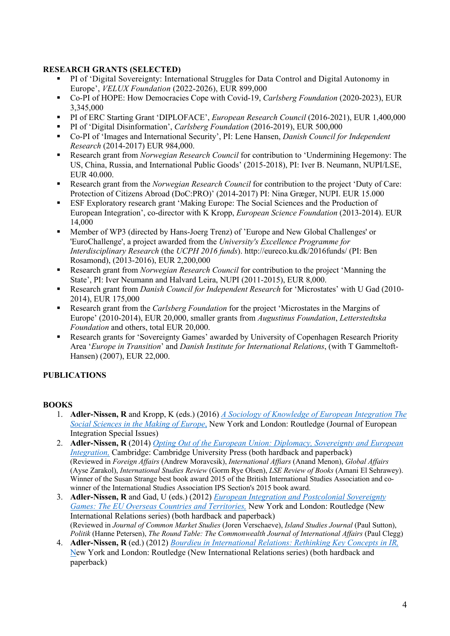# **RESEARCH GRANTS (SELECTED)**

- § PI of 'Digital Sovereignty: International Struggles for Data Control and Digital Autonomy in Europe', *VELUX Foundation* (2022-2026), EUR 899,000
- § Co-PI of HOPE: How Democracies Cope with Covid-19, *Carlsberg Foundation* (2020-2023), EUR 3,345,000
- PI of ERC Starting Grant 'DIPLOFACE', *European Research Council* (2016-2021), EUR 1,400,000
- § PI of 'Digital Disinformation', *Carlsberg Foundation* (2016-2019), EUR 500,000
- Co-PI of 'Images and International Security', PI: Lene Hansen, *Danish Council for Independent Research* (2014-2017) EUR 984,000.
- Research grant from *Norwegian Research Council* for contribution to 'Undermining Hegemony: The US, China, Russia, and International Public Goods' (2015-2018), PI: Iver B. Neumann, NUPI/LSE, EUR 40.000.
- Research grant from the *Norwegian Research Council* for contribution to the project 'Duty of Care: Protection of Citizens Abroad (DoC:PRO)' (2014-2017) PI: Nina Græger, NUPI. EUR 15.000
- § ESF Exploratory research grant 'Making Europe: The Social Sciences and the Production of European Integration', co-director with K Kropp, *European Science Foundation* (2013-2014). EUR 14,000
- Member of WP3 (directed by Hans-Joerg Trenz) of 'Europe and New Global Challenges' or 'EuroChallenge', a project awarded from the *University's Excellence Programme for Interdisciplinary Research* (the *UCPH 2016 funds*). http://eureco.ku.dk/2016funds/ (PI: Ben Rosamond), (2013-2016), EUR 2,200,000
- § Research grant from *Norwegian Research Council* for contribution to the project 'Manning the State', PI: Iver Neumann and Halvard Leira, NUPI (2011-2015), EUR 8,000.
- Research grant from *Danish Council for Independent Research* for 'Microstates' with U Gad (2010-2014), EUR 175,000
- Research grant from the *Carlsberg Foundation* for the project 'Microstates in the Margins of Europe' (2010-2014), EUR 20,000, smaller grants from *Augustinus Foundation*, *Letterstedtska Foundation* and others, total EUR 20,000.
- Research grants for 'Sovereignty Games' awarded by University of Copenhagen Research Priority Area '*Europe in Transition*' and *Danish Institute for International Relations*, (with T Gammeltoft-Hansen) (2007), EUR 22,000.

# **PUBLICATIONS**

# **BOOKS**

- 1. **Adler-Nissen, R** and Kropp, K (eds.) (2016) *A Sociology of Knowledge of European Integration The Social Sciences in the Making of Europe*, New York and London: Routledge (Journal of European Integration Special Issues)
- 2. **Adler-Nissen, R** (2014) *Opting Out of the European Union: Diplomacy, Sovereignty and European Integration,* Cambridge: Cambridge University Press (both hardback and paperback) (Reviewed in *Foreign Affairs* (Andrew Moravcsik), *International Affiars* (Anand Menon), *Global Affairs*  (Ayse Zarakol), *International Studies Review* (Gorm Rye Olsen), *LSE Review of Books* (Amani El Sehrawey). Winner of the Susan Strange best book award 2015 of the British International Studies Association and cowinner of the International Studies Association IPS Section's 2015 book award.
- 3. **Adler-Nissen, R** and Gad, U (eds.) (2012) *European Integration and Postcolonial Sovereignty Games: The EU Overseas Countries and Territories,* New York and London: Routledge (New International Relations series) (both hardback and paperback) (Reviewed in *Journal of Common Market Studies* (Joren Verschaeve), *Island Studies Journal* (Paul Sutton), *Politik* (Hanne Petersen), *The Round Table: The Commonwealth Journal of International Affairs* (Paul Clegg)
- 4. **Adler-Nissen, R** (ed.) (2012) *Bourdieu in International Relations: Rethinking Key Concepts in IR,* New York and London: Routledge (New International Relations series) (both hardback and paperback)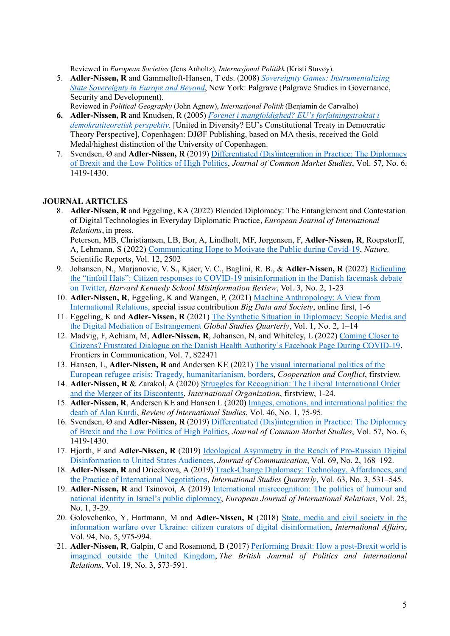Reviewed in *European Societies* (Jens Anholtz), *Internasjonal Politikk* (Kristi Stuvøy).

- 5. **Adler-Nissen, R** and Gammeltoft-Hansen, T eds. (2008) *Sovereignty Games: Instrumentalizing State Sovereignty in Europe and Beyond*, New York: Palgrave (Palgrave Studies in Governance, Security and Development).
- Reviewed in *Political Geography* (John Agnew), *Internasjonal Politik* (Benjamin de Carvalho) **6. Adler-Nissen, R** and Knudsen, R (2005) *Forenet i mangfoldighed? EU's forfatningstraktat i demokratiteoretisk perspektiv,* [United in Diversity? EU's Constitutional Treaty in Democratic Theory Perspective], Copenhagen: DJØF Publishing, based on MA thesis, received the Gold Medal/highest distinction of the University of Copenhagen.
- 7. Svendsen, Ø and **Adler-Nissen, R** (2019) Differentiated (Dis)integration in Practice: The Diplomacy of Brexit and the Low Politics of High Politics, *Journal of Common Market Studies*, Vol. 57, No. 6, 1419-1430.

#### **JOURNAL ARTICLES**

8. **Adler-Nissen, R** and Eggeling, KA (2022) Blended Diplomacy: The Entanglement and Contestation of Digital Technologies in Everyday Diplomatic Practice, *European Journal of International Relations*, in press.

Petersen, MB, Christiansen, LB, Bor, A, Lindholt, MF, Jørgensen, F, **Adler-Nissen, R**, Roepstorff, A, Lehmann, S (2022) Communicating Hope to Motivate the Public during Covid-19, *Nature,* Scientific Reports, Vol. 12, 2502

- 9. Johansen, N., Marjanovic, V. S., Kjaer, V. C., Baglini, R. B., & **Adler-Nissen, R** (2022) Ridiculing the "tinfoil Hats": Citizen responses to COVID-19 misinformation in the Danish facemask debate on Twitter, *Harvard Kennedy School Misinformation Review*, Vol. 3, No. 2, 1-23
- 10. **Adler-Nissen, R**, Eggeling, K and Wangen, P, (2021) Machine Anthropology: A View from International Relations, special issue contribution *Big Data and Society*, online first, 1-6
- 11. Eggeling, K and **Adler-Nissen, R** (2021) The Synthetic Situation in Diplomacy: Scopic Media and the Digital Mediation of Estrangement *Global Studies Quarterly*, Vol. 1, No. 2, 1–14
- 12. Madvig, F, Achiam, M, **Adler-Nissen, R**, Johansen, N, and Whiteley, L (2022) Coming Closer to Citizens? Frustrated Dialogue on the Danish Health Authority's Facebook Page During COVID-19, Frontiers in Communication, Vol. 7, 822471
- 13. Hansen, L, **Adler-Nissen, R** and Andersen KE (2021) The visual international politics of the European refugee crisis: Tragedy, humanitarianism, borders, *Cooperation and Conflict*, firstview.
- 14. **Adler-Nissen, R** & Zarakol, A (2020) Struggles for Recognition: The Liberal International Order and the Merger of its Discontents, *International Organization*, firstview, 1-24.
- 15. **Adler-Nissen, R**, Andersen KE and Hansen L (2020) Images, emotions, and international politics: the death of Alan Kurdi, *Review of International Studies*, Vol. 46, No. 1, 75-95.
- 16. Svendsen, Ø and **Adler-Nissen, R** (2019) Differentiated (Dis)integration in Practice: The Diplomacy of Brexit and the Low Politics of High Politics, *Journal of Common Market Studies*, Vol. 57, No. 6, 1419-1430.
- 17. Hjorth, F and **Adler-Nissen, R** (2019) Ideological Asymmetry in the Reach of Pro-Russian Digital Disinformation to United States Audiences, *Journal of Communication*, Vol. 69, No. 2, 168–192.
- 18. **Adler-Nissen, R** and Drieckowa, A (2019) Track-Change Diplomacy: Technology, Affordances, and the Practice of International Negotiations, *International Studies Quarterly*, Vol. 63, No. 3, 531–545.
- 19. **Adler-Nissen, R** and Tsinovoi, A (2019) International misrecognition: The politics of humour and national identity in Israel's public diplomacy, *European Journal of International Relations*, Vol. 25, No. 1, 3-29.
- 20. Golovchenko, Y, Hartmann, M and **Adler-Nissen, R** (2018) State, media and civil society in the information warfare over Ukraine: citizen curators of digital disinformation, *International Affairs*, Vol. 94, No. 5, 975-994.
- 21. **Adler-Nissen, R**, Galpin, C and Rosamond, B (2017) Performing Brexit: How a post-Brexit world is imagined outside the United Kingdom, *The British Journal of Politics and International Relations*, Vol. 19, No. 3, 573-591.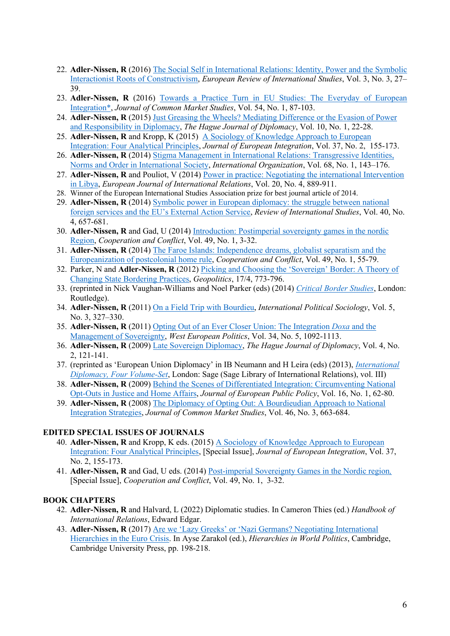- 22. **Adler-Nissen, R** (2016) The Social Self in International Relations: Identity, Power and the Symbolic Interactionist Roots of Constructivism, *European Review of International Studies*, Vol. 3, No. 3, 27– 39.
- 23. **Adler-Nissen, R** (2016) Towards a Practice Turn in EU Studies: The Everyday of European Integration\*, *Journal of Common Market Studies*, Vol. 54, No. 1, 87-103.
- 24. **Adler-Nissen, R** (2015) Just Greasing the Wheels? Mediating Difference or the Evasion of Power and Responsibility in Diplomacy, *The Hague Journal of Diplomacy*, Vol. 10, No. 1, 22-28.
- 25. **Adler-Nissen, R** and Kropp, K (2015) A Sociology of Knowledge Approach to European Integration: Four Analytical Principles, *Journal of European Integration*, Vol. 37, No. 2, 155-173.
- 26. **Adler-Nissen, R** (2014) Stigma Management in International Relations: Transgressive Identities, Norms and Order in International Society, *International Organization*, Vol. 68, No. 1, 143–176.
- 27. **Adler-Nissen, R** and Pouliot, V (2014) Power in practice: Negotiating the international Intervention in Libya, *European Journal of International Relations*, Vol. 20, No. 4, 889-911.
- 28. Winner of the European International Studies Association prize for best journal article of 2014.
- 29. **Adler-Nissen, R** (2014) Symbolic power in European diplomacy: the struggle between national foreign services and the EU's External Action Service, *Review of International Studies*, Vol. 40, No. 4, 657-681.
- 30. **Adler-Nissen, R** and Gad, U (2014) Introduction: Postimperial sovereignty games in the nordic Region, *Cooperation and Conflict*, Vol. 49, No. 1, 3-32.
- 31. **Adler-Nissen, R** (2014) The Faroe Islands: Independence dreams, globalist separatism and the Europeanization of postcolonial home rule, *Cooperation and Conflict*, Vol. 49, No. 1, 55-79.
- 32. Parker, N and **Adler-Nissen, R** (2012) Picking and Choosing the 'Sovereign' Border: A Theory of Changing State Bordering Practices, *Geopolitics*, 17/4, 773-796.
- 33. (reprinted in Nick Vaughan-Williams and Noel Parker (eds) (2014) *Critical Border Studies*, London: Routledge).
- 34. **Adler-Nissen, R** (2011) On a Field Trip with Bourdieu, *International Political Sociology*, Vol. 5, No. 3, 327–330.
- 35. **Adler-Nissen, R** (2011) Opting Out of an Ever Closer Union: The Integration *Doxa* and the Management of Sovereignty, *West European Politics*, Vol. 34, No. 5, 1092-1113.
- 36. **Adler-Nissen, R** (2009) Late Sovereign Diplomacy, *The Hague Journal of Diplomacy*, Vol. 4, No. 2, 121-141.
- 37. (reprinted as 'European Union Diplomacy' in IB Neumann and H Leira (eds) (2013), *International Diplomacy, Four Volume-Set*, London: Sage (Sage Library of International Relations), vol. III)
- 38. **Adler-Nissen, R** (2009) Behind the Scenes of Differentiated Integration: Circumventing National Opt-Outs in Justice and Home Affairs, *Journal of European Public Policy*, Vol. 16, No. 1, 62-80.
- 39. **Adler-Nissen, R** (2008) The Diplomacy of Opting Out: A Bourdieudian Approach to National Integration Strategies, *Journal of Common Market Studies*, Vol. 46, No. 3, 663-684.

# **EDITED SPECIAL ISSUES OF JOURNALS**

- 40. **Adler-Nissen, R** and Kropp, K eds. (2015) A Sociology of Knowledge Approach to European Integration: Four Analytical Principles, [Special Issue], *Journal of European Integration*, Vol. 37, No. 2, 155-173.
- 41. **Adler-Nissen, R** and Gad, U eds. (2014) Post-imperial Sovereignty Games in the Nordic region*,* [Special Issue], *Cooperation and Conflict*, Vol. 49, No. 1, 3-32.

# **BOOK CHAPTERS**

- 42. **Adler-Nissen, R** and Halvard, L (2022) Diplomatic studies. In Cameron Thies (ed.) *Handbook of International Relations*, Edward Edgar.
- 43. **Adler-Nissen, R** (2017) Are we 'Lazy Greeks' or 'Nazi Germans? Negotiating International Hierarchies in the Euro Crisis. In Ayse Zarakol (ed.), *Hierarchies in World Politics*, Cambridge, Cambridge University Press, pp. 198-218.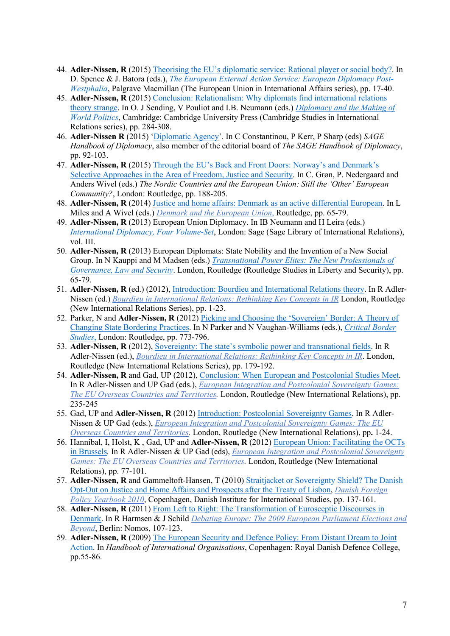- 44. **Adler-Nissen, R** (2015) Theorising the EU's diplomatic service: Rational player or social body?. In D. Spence & J. Batora (eds.), *The European External Action Service: European Diplomacy Post-Westphalia*, Palgrave Macmillan (The European Union in International Affairs series), pp. 17-40.
- 45. **Adler-Nissen, R** (2015) Conclusion: Relationalism: Why diplomats find international relations theory strange. In O. J Sending, V Pouliot and I.B. Neumann (eds.) *Diplomacy and the Making of World Politics*, Cambridge: Cambridge University Press (Cambridge Studies in International Relations series), pp. 284-308.
- 46. **Adler-Nissen R** (2015) 'Diplomatic Agency'. In C Constantinou, P Kerr, P Sharp (eds) *SAGE Handbook of Diplomacy*, also member of the editorial board of *The SAGE Handbook of Diplomacy*, pp. 92-103.
- 47. **Adler-Nissen, R** (2015) Through the EU's Back and Front Doors: Norway's and Denmark's Selective Approaches in the Area of Freedom, Justice and Security. In C. Grøn, P. Nedergaard and Anders Wivel (eds.) *The Nordic Countries and the European Union: Still the 'Other' European Community?*, London: Routledge, pp. 188-205.
- 48. **Adler-Nissen, R** (2014) Justice and home affairs: Denmark as an active differential European. In L Miles and A Wivel (eds.) *Denmark and the European Union*, Routledge, pp. 65-79.
- 49. **Adler-Nissen, R** (2013) European Union Diplomacy. In IB Neumann and H Leira (eds.) *International Diplomacy, Four Volume-Set*, London: Sage (Sage Library of International Relations), vol. III.
- 50. **Adler-Nissen, R** (2013) European Diplomats: State Nobility and the Invention of a New Social Group. In N Kauppi and M Madsen (eds.) *Transnational Power Elites: The New Professionals of Governance, Law and Security*. London, Routledge (Routledge Studies in Liberty and Security), pp. 65-79.
- 51. **Adler-Nissen, R** (ed.) (2012), Introduction: Bourdieu and International Relations theory. In R Adler-Nissen (ed.) *Bourdieu in International Relations: Rethinking Key Concepts in IR* London, Routledge (New International Relations Series), pp. 1-23.
- 52. Parker, N and **Adler-Nissen, R** (2012) Picking and Choosing the 'Sovereign' Border: A Theory of Changing State Bordering Practices. In N Parker and N Vaughan-Williams (eds.), *Critical Border Studies*, London: Routledge, pp. 773-796.
- 53. **Adler-Nissen, R** (2012), Sovereignty: The state's symbolic power and transnational fields. In R Adler-Nissen (ed.), *Bourdieu in International Relations: Rethinking Key Concepts in IR*. London, Routledge (New International Relations Series), pp. 179-192.
- 54. **Adler-Nissen, R** and Gad, UP (2012), Conclusion: When European and Postcolonial Studies Meet. In R Adler-Nissen and UP Gad (eds.), *European Integration and Postcolonial Sovereignty Games: The EU Overseas Countries and Territories.* London, Routledge (New International Relations), pp. 235-245
- 55. Gad, UP and **Adler-Nissen, R** (2012) Introduction: Postcolonial Sovereignty Games. In R Adler-Nissen & UP Gad (eds.), *European Integration and Postcolonial Sovereignty Games: The EU Overseas Countries and Territories.* London, Routledge (New International Relations), pp**.** 1-24.
- 56. Hannibal, I, Holst, K , Gad, UP and **Adler-Nissen, R** (2012) European Union: Facilitating the OCTs in Brussels*.* In R Adler-Nissen & UP Gad (eds), *European Integration and Postcolonial Sovereignty Games: The EU Overseas Countries and Territories.* London, Routledge (New International Relations), pp. 77-101.
- 57. Adler-Nissen, R and Gammeltoft-Hansen, T (2010) Straitjacket or Sovereignty Shield? The Danish Opt-Out on Justice and Home Affairs and Prospects after the Treaty of Lisbon, *Danish Foreign Policy Yearbook 2010*, Copenhagen, Danish Institute for International Studies, pp. 137-161.
- 58. **Adler-Nissen, R** (2011) From Left to Right: The Transformation of Eurosceptic Discourses in Denmark. In R Harmsen & J Schild *Debating Europe: The 2009 European Parliament Elections and Beyond*, Berlin: Nomos, 107-123.
- 59. **Adler-Nissen, R** (2009) The European Security and Defence Policy: From Distant Dream to Joint Action. In *Handbook of International Organisations*, Copenhagen: Royal Danish Defence College, pp.55-86.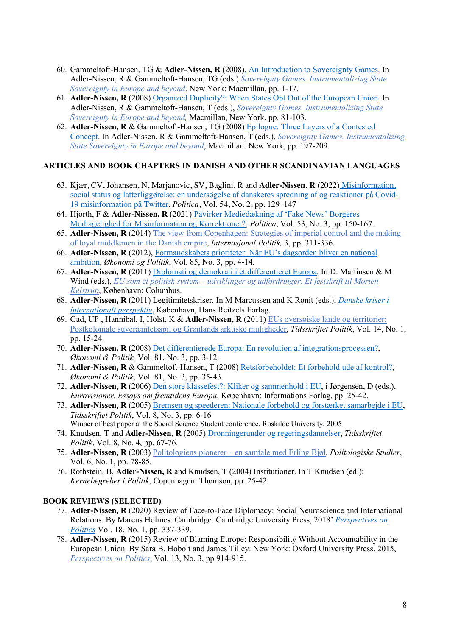- 60. Gammeltoft-Hansen, TG & **Adler-Nissen, R** (2008). An Introduction to Sovereignty Games. In Adler-Nissen, R & Gammeltoft-Hansen, TG (eds.) *Sovereignty Games. Instrumentalizing State Sovereignty in Europe and beyond*. New York: Macmillan, pp. 1-17.
- 61. **Adler-Nissen, R** (2008) Organized Duplicity?: When States Opt Out of the European Union. In Adler-Nissen, R & Gammeltoft-Hansen, T (eds.), *Sovereignty Games. Instrumentalizing State Sovereignty in Europe and beyond,* Macmillan, New York, pp. 81-103.
- 62. **Adler-Nissen, R** & Gammeltoft-Hansen, TG (2008) Epilogue: Three Layers of a Contested Concept. In Adler-Nissen, R & Gammeltoft-Hansen, T (eds.), *Sovereignty Games. Instrumentalizing State Sovereignty in Europe and beyond*, Macmillan: New York, pp. 197-209.

# **ARTICLES AND BOOK CHAPTERS IN DANISH AND OTHER SCANDINAVIAN LANGUAGES**

- 63. Kjær, CV, Johansen, N, Marjanovic, SV, Baglini, R and **Adler-Nissen, R** (2022) Misinformation, social status og latterliggørelse: en undersøgelse af danskeres spredning af og reaktioner på Covid-19 misinformation på Twitter, *Politica*, Vol. 54, No. 2, pp. 129–147
- 64. Hjorth, F & **Adler-Nissen, R** (2021) Påvirker Mediedækning af 'Fake News' Borgeres Modtagelighed for Misinformation og Korrektioner?, *Politica*, Vol. 53, No. 3, pp. 150-167.
- 65. **Adler-Nissen, R** (2014) The view from Copenhagen: Strategies of imperial control and the making of loyal middlemen in the Danish empire, *Internasjonal Politik,* 3, pp. 311-336.
- 66. **Adler-Nissen, R** (2012), Formandskabets prioriteter: Når EU's dagsorden bliver en national ambition, *Økonomi og Politik*, Vol. 85, No. 3, pp. 4-14.
- 67. **Adler-Nissen, R** (2011) Diplomati og demokrati i et differentieret Europa. In D. Martinsen & M Wind (eds.), *EU som et politisk system – udviklinger og udfordringer. Et festskrift til Morten Kelstrup*, København: Columbus.
- 68. **Adler-Nissen, R** (2011) Legitimitetskriser. In M Marcussen and K Ronit (eds.), *Danske kriser i internationalt perspektiv*, København, Hans Reitzels Forlag.
- 69. Gad, UP , Hannibal, I, Holst, K & **Adler-Nissen, R** (2011) EUs oversøiske lande og territorier: Postkoloniale suverænitetsspil og Grønlands arktiske muligheder, *Tidsskriftet Politik*, Vol. 14, No. 1, pp. 15-24.
- 70. **Adler-Nissen, R** (2008) Det differentierede Europa: En revolution af integrationsprocessen?, *Økonomi & Politik,* Vol. 81, No. 3, pp. 3-12.
- 71. **Adler-Nissen, R** & Gammeltoft-Hansen, T (2008) Retsforbeholdet: Et forbehold ude af kontrol?, *Økonomi & Politik*, Vol. 81, No. 3, pp. 35-43.
- 72. **Adler-Nissen, R** (2006) Den store klassefest?: Kliker og sammenhold i EU, i Jørgensen, D (eds.), *Eurovisioner. Essays om fremtidens Europa*, København: Informations Forlag. pp. 25-42.
- 73. **Adler-Nissen, R** (2005) Bremsen og speederen: Nationale forbehold og forstærket samarbejde i EU, *Tidsskriftet Politik*, Vol. 8, No. 3, pp. 6-16 Winner of best paper at the Social Science Student conference, Roskilde University, 2005
- 74. Knudsen, T and **Adler-Nissen, R** (2005) Dronningerunder og regeringsdannelser, *Tidsskriftet Politik*, Vol. 8, No. 4, pp. 67-76.
- 75. **Adler-Nissen, R** (2003) Politologiens pionerer en samtale med Erling Bjøl, *Politologiske Studier*, Vol. 6, No. 1, pp. 78-85.
- 76. Rothstein, B, **Adler-Nissen, R** and Knudsen, T (2004) Institutioner. In T Knudsen (ed.): *Kernebegreber i Politik*, Copenhagen: Thomson, pp. 25-42.

# **BOOK REVIEWS (SELECTED)**

- 77. **Adler-Nissen, R** (2020) Review of Face-to-Face Diplomacy: Social Neuroscience and International Relations. By Marcus Holmes. Cambridge: Cambridge University Press, 2018' *Perspectives on Politics* Vol. 18, No. 1, pp. 337-339.
- 78. **Adler-Nissen, R** (2015) Review of Blaming Europe: Responsibility Without Accountability in the European Union. By Sara B. Hobolt and James Tilley. New York: Oxford University Press, 2015, *Perspectives on Politics*, Vol. 13, No. 3, pp 914-915.